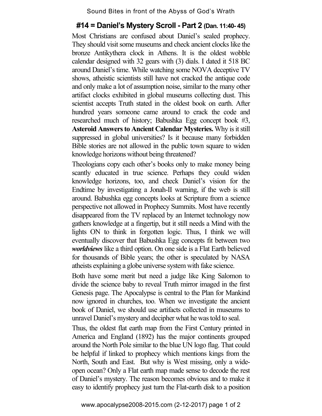Sound Bites in front of the Abyss of God's Wrath

## **#14 = Daniel's Mystery Scroll - Part 2 (Dan. 11:40- 45)**

Most Christians are confused about Daniel's sealed prophecy. They should visit some museums and check ancient clocks like the bronze Antikythera clock in Athens. It is the oldest wobble calendar designed with 32 gears with (3) dials. I dated it 518 BC around Daniel's time. While watching some NOVA deceptive TV shows, atheistic scientists still have not cracked the antique code and only make a lot of assumption noise, similar to the many other artifact clocks exhibited in global museums collecting dust. This scientist accepts Truth stated in the oldest book on earth. After hundred years someone came around to crack the code and researched much of history; Babushka Egg concept book #3, **Asteroid Answers to Ancient Calendar Mysteries.** Why is it still suppressed in global universities? Is it because many forbidden Bible stories are not allowed in the public town square to widen knowledge horizons without being threatened?

Theologians copy each other's books only to make money being scantly educated in true science. Perhaps they could widen knowledge horizons, too, and check Daniel's vision for the Endtime by investigating a Jonah-II warning, if the web is still around. Babushka egg concepts looks at Scripture from a science perspective not allowed in Prophecy Summits. Most have recently disappeared from the TV replaced by an Internet technology now gathers knowledge at a fingertip, but it still needs a Mind with the lights ON to think in forgotten logic. Thus, I think we will eventually discover that Babushka Egg concepts fit between two *worldviews* like a third option. On one side is a Flat Earth believed for thousands of Bible years; the other is speculated by NASA atheists explaining a globe universe system with fake science.

Both have some merit but need a judge like King Salomon to divide the science baby to reveal Truth mirror imaged in the first Genesis page. The Apocalypse is central to the Plan for Mankind now ignored in churches, too. When we investigate the ancient book of Daniel, we should use artifacts collected in museums to unravel Daniel's mystery and decipher what he was told to seal.

Thus, the oldest flat earth map from the First Century printed in America and England (1892) has the major continents grouped around the North Pole similar to the blue UN logo flag. That could be helpful if linked to prophecy which mentions kings from the North, South and East. But why is West missing, only a wideopen ocean? Only a Flat earth map made sense to decode the rest of Daniel's mystery. The reason becomes obvious and to make it easy to identify prophecy just turn the Flat-earth disk to a position